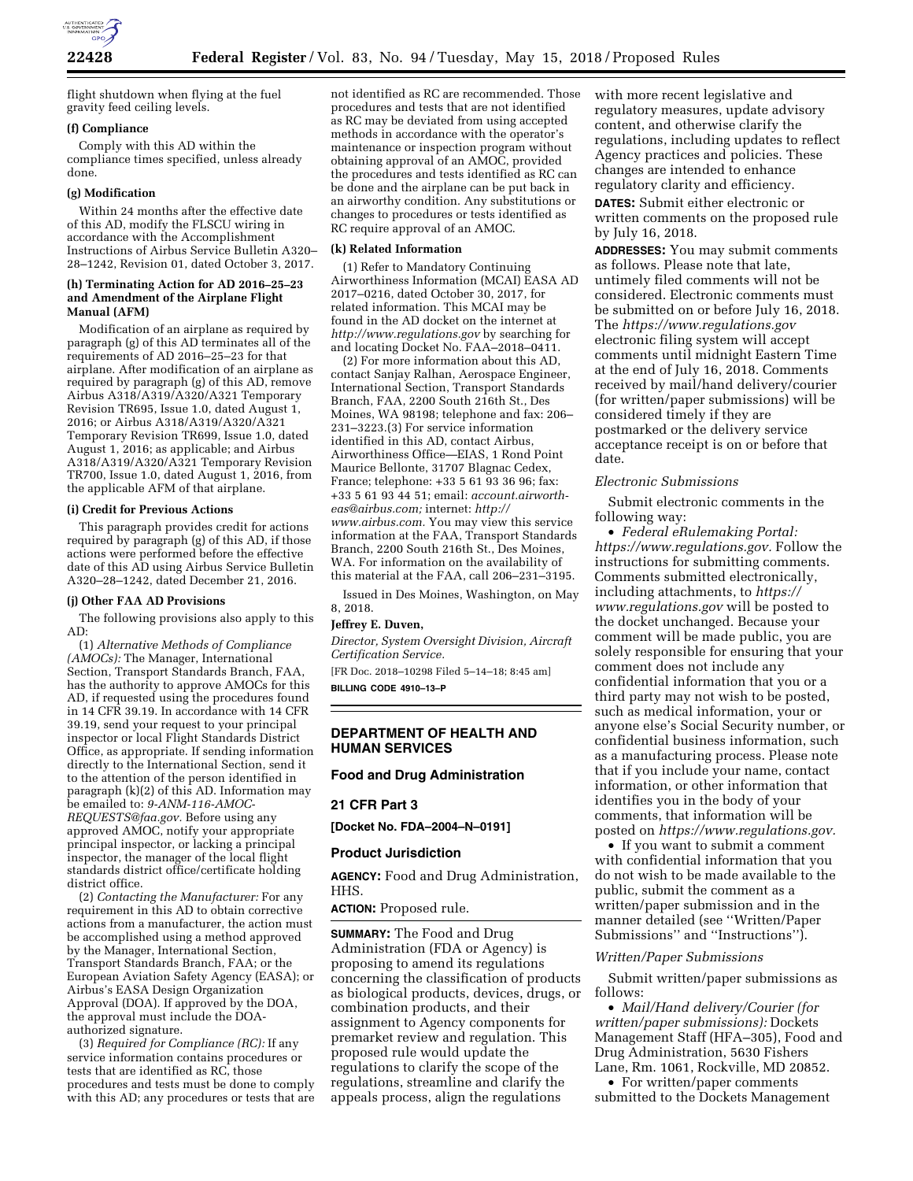

flight shutdown when flying at the fuel gravity feed ceiling levels.

### **(f) Compliance**

Comply with this AD within the compliance times specified, unless already done.

## **(g) Modification**

Within 24 months after the effective date of this AD, modify the FLSCU wiring in accordance with the Accomplishment Instructions of Airbus Service Bulletin A320– 28–1242, Revision 01, dated October 3, 2017.

### **(h) Terminating Action for AD 2016–25–23 and Amendment of the Airplane Flight Manual (AFM)**

Modification of an airplane as required by paragraph (g) of this AD terminates all of the requirements of AD 2016–25–23 for that airplane. After modification of an airplane as required by paragraph (g) of this AD, remove Airbus A318/A319/A320/A321 Temporary Revision TR695, Issue 1.0, dated August 1, 2016; or Airbus A318/A319/A320/A321 Temporary Revision TR699, Issue 1.0, dated August 1, 2016; as applicable; and Airbus A318/A319/A320/A321 Temporary Revision TR700, Issue 1.0, dated August 1, 2016, from the applicable AFM of that airplane.

#### **(i) Credit for Previous Actions**

This paragraph provides credit for actions required by paragraph (g) of this AD, if those actions were performed before the effective date of this AD using Airbus Service Bulletin A320–28–1242, dated December 21, 2016.

### **(j) Other FAA AD Provisions**

The following provisions also apply to this AD:

(1) *Alternative Methods of Compliance (AMOCs):* The Manager, International Section, Transport Standards Branch, FAA, has the authority to approve AMOCs for this AD, if requested using the procedures found in 14 CFR 39.19. In accordance with 14 CFR 39.19, send your request to your principal inspector or local Flight Standards District Office, as appropriate. If sending information directly to the International Section, send it to the attention of the person identified in paragraph (k)(2) of this AD. Information may be emailed to: *[9-ANM-116-AMOC-](mailto:9-ANM-116-AMOC-REQUESTS@faa.gov)[REQUESTS@faa.gov.](mailto:9-ANM-116-AMOC-REQUESTS@faa.gov)* Before using any approved AMOC, notify your appropriate principal inspector, or lacking a principal inspector, the manager of the local flight standards district office/certificate holding district office.

(2) *Contacting the Manufacturer:* For any requirement in this AD to obtain corrective actions from a manufacturer, the action must be accomplished using a method approved by the Manager, International Section, Transport Standards Branch, FAA; or the European Aviation Safety Agency (EASA); or Airbus's EASA Design Organization Approval (DOA). If approved by the DOA, the approval must include the DOAauthorized signature.

(3) *Required for Compliance (RC):* If any service information contains procedures or tests that are identified as RC, those procedures and tests must be done to comply with this AD; any procedures or tests that are not identified as RC are recommended. Those procedures and tests that are not identified as RC may be deviated from using accepted methods in accordance with the operator's maintenance or inspection program without obtaining approval of an AMOC, provided the procedures and tests identified as RC can be done and the airplane can be put back in an airworthy condition. Any substitutions or changes to procedures or tests identified as RC require approval of an AMOC.

#### **(k) Related Information**

(1) Refer to Mandatory Continuing Airworthiness Information (MCAI) EASA AD 2017–0216, dated October 30, 2017, for related information. This MCAI may be found in the AD docket on the internet at *<http://www.regulations.gov>*by searching for and locating Docket No. FAA–2018–0411.

(2) For more information about this AD, contact Sanjay Ralhan, Aerospace Engineer, International Section, Transport Standards Branch, FAA, 2200 South 216th St., Des Moines, WA 98198; telephone and fax: 206– 231–3223.(3) For service information identified in this AD, contact Airbus, Airworthiness Office—EIAS, 1 Rond Point Maurice Bellonte, 31707 Blagnac Cedex, France; telephone: +33 5 61 93 36 96; fax: +33 5 61 93 44 51; email: *[account.airworth](mailto:account.airworth-eas@airbus.com)[eas@airbus.com;](mailto:account.airworth-eas@airbus.com)* internet: *[http://](http://www.airbus.com) [www.airbus.com.](http://www.airbus.com)* You may view this service information at the FAA, Transport Standards Branch, 2200 South 216th St., Des Moines, WA. For information on the availability of this material at the FAA, call 206–231–3195.

Issued in Des Moines, Washington, on May 8, 2018.

#### **Jeffrey E. Duven,**

*Director, System Oversight Division, Aircraft Certification Service.* 

[FR Doc. 2018–10298 Filed 5–14–18; 8:45 am] **BILLING CODE 4910–13–P** 

## **DEPARTMENT OF HEALTH AND HUMAN SERVICES**

### **Food and Drug Administration**

### **21 CFR Part 3**

**[Docket No. FDA–2004–N–0191]** 

### **Product Jurisdiction**

**AGENCY:** Food and Drug Administration, HHS.

## **ACTION:** Proposed rule.

**SUMMARY:** The Food and Drug Administration (FDA or Agency) is proposing to amend its regulations concerning the classification of products as biological products, devices, drugs, or combination products, and their assignment to Agency components for premarket review and regulation. This proposed rule would update the regulations to clarify the scope of the regulations, streamline and clarify the appeals process, align the regulations

with more recent legislative and regulatory measures, update advisory content, and otherwise clarify the regulations, including updates to reflect Agency practices and policies. These changes are intended to enhance regulatory clarity and efficiency.

**DATES:** Submit either electronic or written comments on the proposed rule by July 16, 2018.

**ADDRESSES:** You may submit comments as follows. Please note that late, untimely filed comments will not be considered. Electronic comments must be submitted on or before July 16, 2018. The *<https://www.regulations.gov>* electronic filing system will accept comments until midnight Eastern Time at the end of July 16, 2018. Comments received by mail/hand delivery/courier (for written/paper submissions) will be considered timely if they are postmarked or the delivery service acceptance receipt is on or before that date.

#### *Electronic Submissions*

Submit electronic comments in the following way:

• *Federal eRulemaking Portal: [https://www.regulations.gov.](https://www.regulations.gov)* Follow the instructions for submitting comments. Comments submitted electronically, including attachments, to *[https://](https://www.regulations.gov) [www.regulations.gov](https://www.regulations.gov)* will be posted to the docket unchanged. Because your comment will be made public, you are solely responsible for ensuring that your comment does not include any confidential information that you or a third party may not wish to be posted, such as medical information, your or anyone else's Social Security number, or confidential business information, such as a manufacturing process. Please note that if you include your name, contact information, or other information that identifies you in the body of your comments, that information will be posted on *[https://www.regulations.gov.](https://www.regulations.gov)* 

• If you want to submit a comment with confidential information that you do not wish to be made available to the public, submit the comment as a written/paper submission and in the manner detailed (see ''Written/Paper Submissions'' and ''Instructions'').

### *Written/Paper Submissions*

Submit written/paper submissions as follows:

• *Mail/Hand delivery/Courier (for written/paper submissions):* Dockets Management Staff (HFA–305), Food and Drug Administration, 5630 Fishers Lane, Rm. 1061, Rockville, MD 20852.

• For written/paper comments submitted to the Dockets Management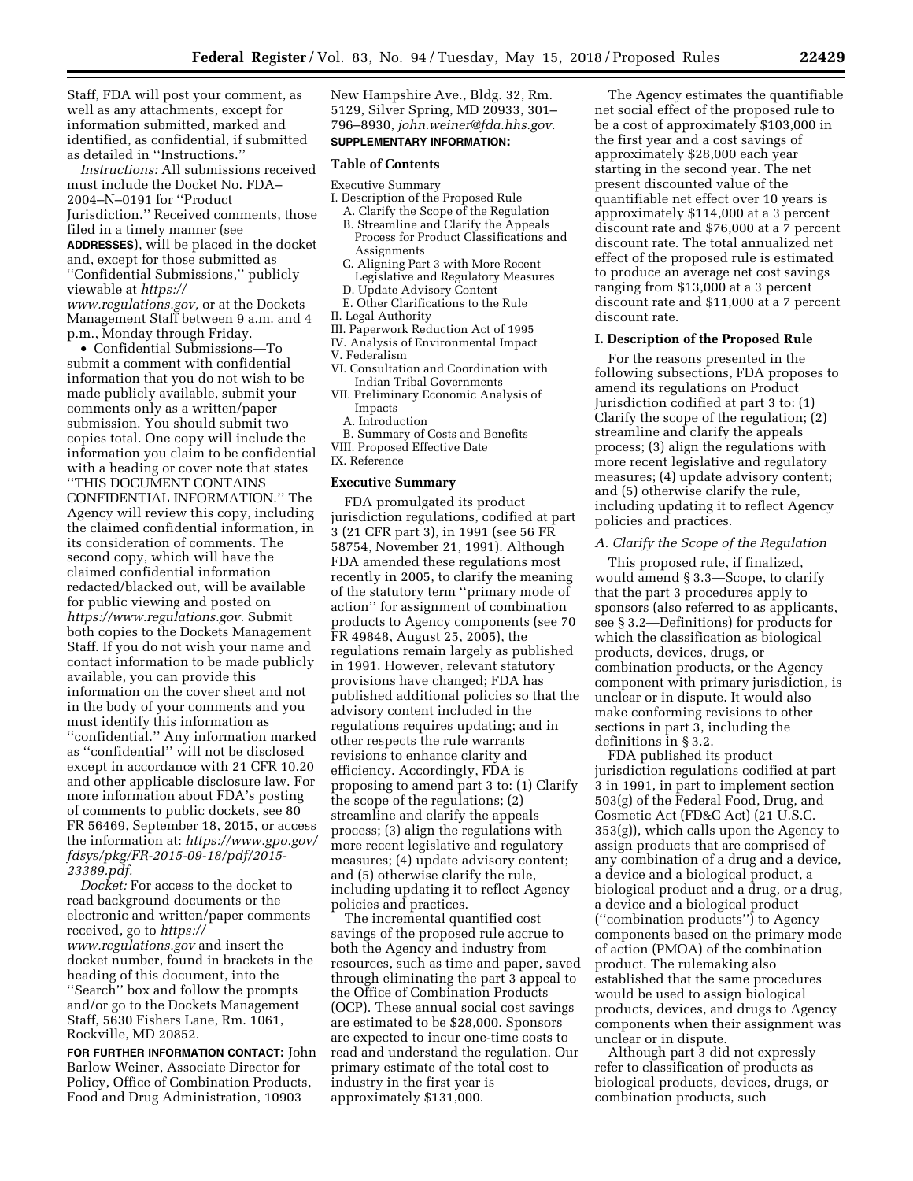Staff, FDA will post your comment, as well as any attachments, except for information submitted, marked and identified, as confidential, if submitted as detailed in ''Instructions.''

*Instructions:* All submissions received must include the Docket No. FDA– 2004–N–0191 for ''Product Jurisdiction.'' Received comments, those filed in a timely manner (see **ADDRESSES**), will be placed in the docket and, except for those submitted as ''Confidential Submissions,'' publicly viewable at *[https://](https://www.regulations.gov) [www.regulations.gov,](https://www.regulations.gov)* or at the Dockets Management Staff between 9 a.m. and 4 p.m., Monday through Friday.

• Confidential Submissions—To submit a comment with confidential information that you do not wish to be made publicly available, submit your comments only as a written/paper submission. You should submit two copies total. One copy will include the information you claim to be confidential with a heading or cover note that states ''THIS DOCUMENT CONTAINS CONFIDENTIAL INFORMATION.'' The Agency will review this copy, including the claimed confidential information, in its consideration of comments. The second copy, which will have the claimed confidential information redacted/blacked out, will be available for public viewing and posted on *[https://www.regulations.gov.](https://www.regulations.gov)* Submit both copies to the Dockets Management Staff. If you do not wish your name and contact information to be made publicly available, you can provide this information on the cover sheet and not in the body of your comments and you must identify this information as ''confidential.'' Any information marked as ''confidential'' will not be disclosed except in accordance with 21 CFR 10.20 and other applicable disclosure law. For more information about FDA's posting of comments to public dockets, see 80 FR 56469, September 18, 2015, or access the information at: *[https://www.gpo.gov/](https://www.gpo.gov/fdsys/pkg/FR-2015-09-18/pdf/2015-23389.pdf) [fdsys/pkg/FR-2015-09-18/pdf/2015-](https://www.gpo.gov/fdsys/pkg/FR-2015-09-18/pdf/2015-23389.pdf)  [23389.pdf.](https://www.gpo.gov/fdsys/pkg/FR-2015-09-18/pdf/2015-23389.pdf)* 

*Docket:* For access to the docket to read background documents or the electronic and written/paper comments received, go to *[https://](https://www.regulations.gov) [www.regulations.gov](https://www.regulations.gov)* and insert the docket number, found in brackets in the heading of this document, into the "Search" box and follow the prompts and/or go to the Dockets Management Staff, 5630 Fishers Lane, Rm. 1061, Rockville, MD 20852.

**FOR FURTHER INFORMATION CONTACT:** John Barlow Weiner, Associate Director for Policy, Office of Combination Products, Food and Drug Administration, 10903

New Hampshire Ave., Bldg. 32, Rm. 5129, Silver Spring, MD 20933, 301– 796–8930, *[john.weiner@fda.hhs.gov.](mailto:john.weiner@fda.hhs.gov)* 

# **SUPPLEMENTARY INFORMATION:**

## **Table of Contents**

Executive Summary

- I. Description of the Proposed Rule
	- A. Clarify the Scope of the Regulation B. Streamline and Clarify the Appeals Process for Product Classifications and Assignments
	- C. Aligning Part 3 with More Recent Legislative and Regulatory Measures
	- D. Update Advisory Content E. Other Clarifications to the Rule
- II. Legal Authority
- III. Paperwork Reduction Act of 1995
- IV. Analysis of Environmental Impact
- V. Federalism
- VI. Consultation and Coordination with Indian Tribal Governments
- VII. Preliminary Economic Analysis of Impacts
	- A. Introduction
	- B. Summary of Costs and Benefits
- VIII. Proposed Effective Date
- IX. Reference

### **Executive Summary**

FDA promulgated its product jurisdiction regulations, codified at part 3 (21 CFR part 3), in 1991 (see 56 FR 58754, November 21, 1991). Although FDA amended these regulations most recently in 2005, to clarify the meaning of the statutory term ''primary mode of action'' for assignment of combination products to Agency components (see 70 FR 49848, August 25, 2005), the regulations remain largely as published in 1991. However, relevant statutory provisions have changed; FDA has published additional policies so that the advisory content included in the regulations requires updating; and in other respects the rule warrants revisions to enhance clarity and efficiency. Accordingly, FDA is proposing to amend part 3 to: (1) Clarify the scope of the regulations; (2) streamline and clarify the appeals process; (3) align the regulations with more recent legislative and regulatory measures; (4) update advisory content; and (5) otherwise clarify the rule, including updating it to reflect Agency policies and practices.

The incremental quantified cost savings of the proposed rule accrue to both the Agency and industry from resources, such as time and paper, saved through eliminating the part 3 appeal to the Office of Combination Products (OCP). These annual social cost savings are estimated to be \$28,000. Sponsors are expected to incur one-time costs to read and understand the regulation. Our primary estimate of the total cost to industry in the first year is approximately \$131,000.

The Agency estimates the quantifiable net social effect of the proposed rule to be a cost of approximately \$103,000 in the first year and a cost savings of approximately \$28,000 each year starting in the second year. The net present discounted value of the quantifiable net effect over 10 years is approximately \$114,000 at a 3 percent discount rate and \$76,000 at a 7 percent discount rate. The total annualized net effect of the proposed rule is estimated to produce an average net cost savings ranging from \$13,000 at a 3 percent discount rate and \$11,000 at a 7 percent discount rate.

#### **I. Description of the Proposed Rule**

For the reasons presented in the following subsections, FDA proposes to amend its regulations on Product Jurisdiction codified at part 3 to: (1) Clarify the scope of the regulation; (2) streamline and clarify the appeals process; (3) align the regulations with more recent legislative and regulatory measures; (4) update advisory content; and (5) otherwise clarify the rule, including updating it to reflect Agency policies and practices.

## *A. Clarify the Scope of the Regulation*

This proposed rule, if finalized, would amend § 3.3—Scope, to clarify that the part 3 procedures apply to sponsors (also referred to as applicants, see § 3.2—Definitions) for products for which the classification as biological products, devices, drugs, or combination products, or the Agency component with primary jurisdiction, is unclear or in dispute. It would also make conforming revisions to other sections in part 3, including the definitions in § 3.2.

FDA published its product jurisdiction regulations codified at part 3 in 1991, in part to implement section 503(g) of the Federal Food, Drug, and Cosmetic Act (FD&C Act) (21 U.S.C. 353(g)), which calls upon the Agency to assign products that are comprised of any combination of a drug and a device, a device and a biological product, a biological product and a drug, or a drug, a device and a biological product (''combination products'') to Agency components based on the primary mode of action (PMOA) of the combination product. The rulemaking also established that the same procedures would be used to assign biological products, devices, and drugs to Agency components when their assignment was unclear or in dispute.

Although part 3 did not expressly refer to classification of products as biological products, devices, drugs, or combination products, such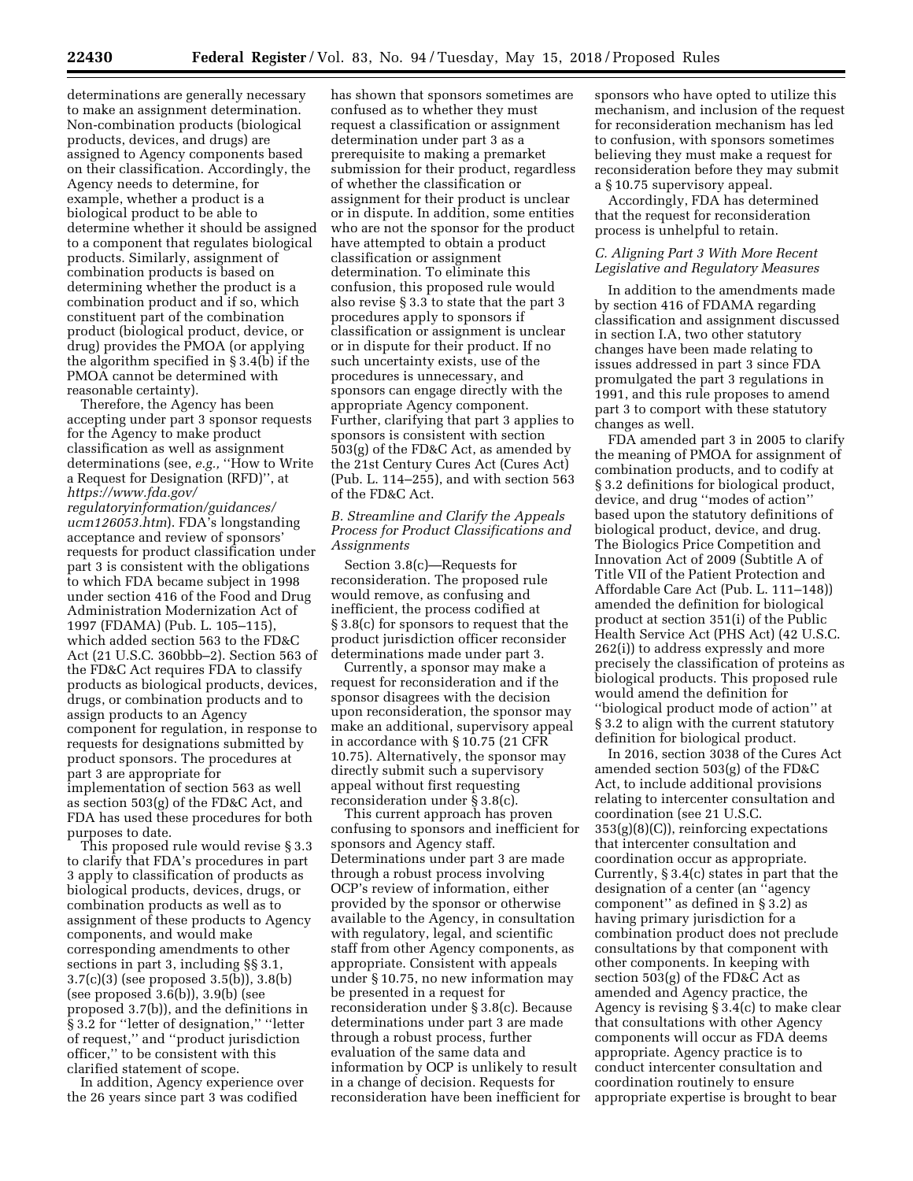determinations are generally necessary to make an assignment determination. Non-combination products (biological products, devices, and drugs) are assigned to Agency components based on their classification. Accordingly, the Agency needs to determine, for example, whether a product is a biological product to be able to determine whether it should be assigned to a component that regulates biological products. Similarly, assignment of combination products is based on determining whether the product is a combination product and if so, which constituent part of the combination product (biological product, device, or drug) provides the PMOA (or applying the algorithm specified in § 3.4(b) if the PMOA cannot be determined with reasonable certainty).

Therefore, the Agency has been accepting under part 3 sponsor requests for the Agency to make product classification as well as assignment determinations (see, *e.g.,* ''How to Write a Request for Designation (RFD)'', at *[https://www.fda.gov/](https://www.fda.gov/regulatoryinformation/guidances/ucm126053.htm)* 

*[regulatoryinformation/guidances/](https://www.fda.gov/regulatoryinformation/guidances/ucm126053.htm) [ucm126053.htm](https://www.fda.gov/regulatoryinformation/guidances/ucm126053.htm)*). FDA's longstanding acceptance and review of sponsors' requests for product classification under part 3 is consistent with the obligations to which FDA became subject in 1998 under section 416 of the Food and Drug Administration Modernization Act of 1997 (FDAMA) (Pub. L. 105–115), which added section 563 to the FD&C Act (21 U.S.C. 360bbb–2). Section 563 of the FD&C Act requires FDA to classify products as biological products, devices, drugs, or combination products and to assign products to an Agency component for regulation, in response to requests for designations submitted by product sponsors. The procedures at part 3 are appropriate for implementation of section 563 as well as section 503(g) of the FD&C Act, and FDA has used these procedures for both purposes to date.

This proposed rule would revise § 3.3 to clarify that FDA's procedures in part 3 apply to classification of products as biological products, devices, drugs, or combination products as well as to assignment of these products to Agency components, and would make corresponding amendments to other sections in part 3, including §§ 3.1, 3.7(c)(3) (see proposed 3.5(b)), 3.8(b) (see proposed 3.6(b)), 3.9(b) (see proposed 3.7(b)), and the definitions in § 3.2 for "letter of designation," "letter of request,'' and ''product jurisdiction officer,'' to be consistent with this clarified statement of scope.

In addition, Agency experience over the 26 years since part 3 was codified

has shown that sponsors sometimes are confused as to whether they must request a classification or assignment determination under part 3 as a prerequisite to making a premarket submission for their product, regardless of whether the classification or assignment for their product is unclear or in dispute. In addition, some entities who are not the sponsor for the product have attempted to obtain a product classification or assignment determination. To eliminate this confusion, this proposed rule would also revise § 3.3 to state that the part 3 procedures apply to sponsors if classification or assignment is unclear or in dispute for their product. If no such uncertainty exists, use of the procedures is unnecessary, and sponsors can engage directly with the appropriate Agency component. Further, clarifying that part 3 applies to sponsors is consistent with section 503(g) of the FD&C Act, as amended by the 21st Century Cures Act (Cures Act) (Pub. L. 114–255), and with section 563 of the FD&C Act.

*B. Streamline and Clarify the Appeals Process for Product Classifications and Assignments* 

Section 3.8(c)—Requests for reconsideration. The proposed rule would remove, as confusing and inefficient, the process codified at § 3.8(c) for sponsors to request that the product jurisdiction officer reconsider determinations made under part 3.

Currently, a sponsor may make a request for reconsideration and if the sponsor disagrees with the decision upon reconsideration, the sponsor may make an additional, supervisory appeal in accordance with § 10.75 (21 CFR 10.75). Alternatively, the sponsor may directly submit such a supervisory appeal without first requesting reconsideration under § 3.8(c).

This current approach has proven confusing to sponsors and inefficient for sponsors and Agency staff. Determinations under part 3 are made through a robust process involving OCP's review of information, either provided by the sponsor or otherwise available to the Agency, in consultation with regulatory, legal, and scientific staff from other Agency components, as appropriate. Consistent with appeals under § 10.75, no new information may be presented in a request for reconsideration under § 3.8(c). Because determinations under part 3 are made through a robust process, further evaluation of the same data and information by OCP is unlikely to result in a change of decision. Requests for reconsideration have been inefficient for sponsors who have opted to utilize this mechanism, and inclusion of the request for reconsideration mechanism has led to confusion, with sponsors sometimes believing they must make a request for reconsideration before they may submit a § 10.75 supervisory appeal.

Accordingly, FDA has determined that the request for reconsideration process is unhelpful to retain.

## *C. Aligning Part 3 With More Recent Legislative and Regulatory Measures*

In addition to the amendments made by section 416 of FDAMA regarding classification and assignment discussed in section I.A, two other statutory changes have been made relating to issues addressed in part 3 since FDA promulgated the part 3 regulations in 1991, and this rule proposes to amend part 3 to comport with these statutory changes as well.

FDA amended part 3 in 2005 to clarify the meaning of PMOA for assignment of combination products, and to codify at § 3.2 definitions for biological product, device, and drug ''modes of action'' based upon the statutory definitions of biological product, device, and drug. The Biologics Price Competition and Innovation Act of 2009 (Subtitle A of Title VII of the Patient Protection and Affordable Care Act (Pub. L. 111–148)) amended the definition for biological product at section 351(i) of the Public Health Service Act (PHS Act) (42 U.S.C. 262(i)) to address expressly and more precisely the classification of proteins as biological products. This proposed rule would amend the definition for ''biological product mode of action'' at § 3.2 to align with the current statutory definition for biological product.

In 2016, section 3038 of the Cures Act amended section 503(g) of the FD&C Act, to include additional provisions relating to intercenter consultation and coordination (see 21 U.S.C. 353(g)(8)(C)), reinforcing expectations that intercenter consultation and coordination occur as appropriate. Currently, § 3.4(c) states in part that the designation of a center (an ''agency component'' as defined in § 3.2) as having primary jurisdiction for a combination product does not preclude consultations by that component with other components. In keeping with section 503(g) of the FD&C Act as amended and Agency practice, the Agency is revising § 3.4(c) to make clear that consultations with other Agency components will occur as FDA deems appropriate. Agency practice is to conduct intercenter consultation and coordination routinely to ensure appropriate expertise is brought to bear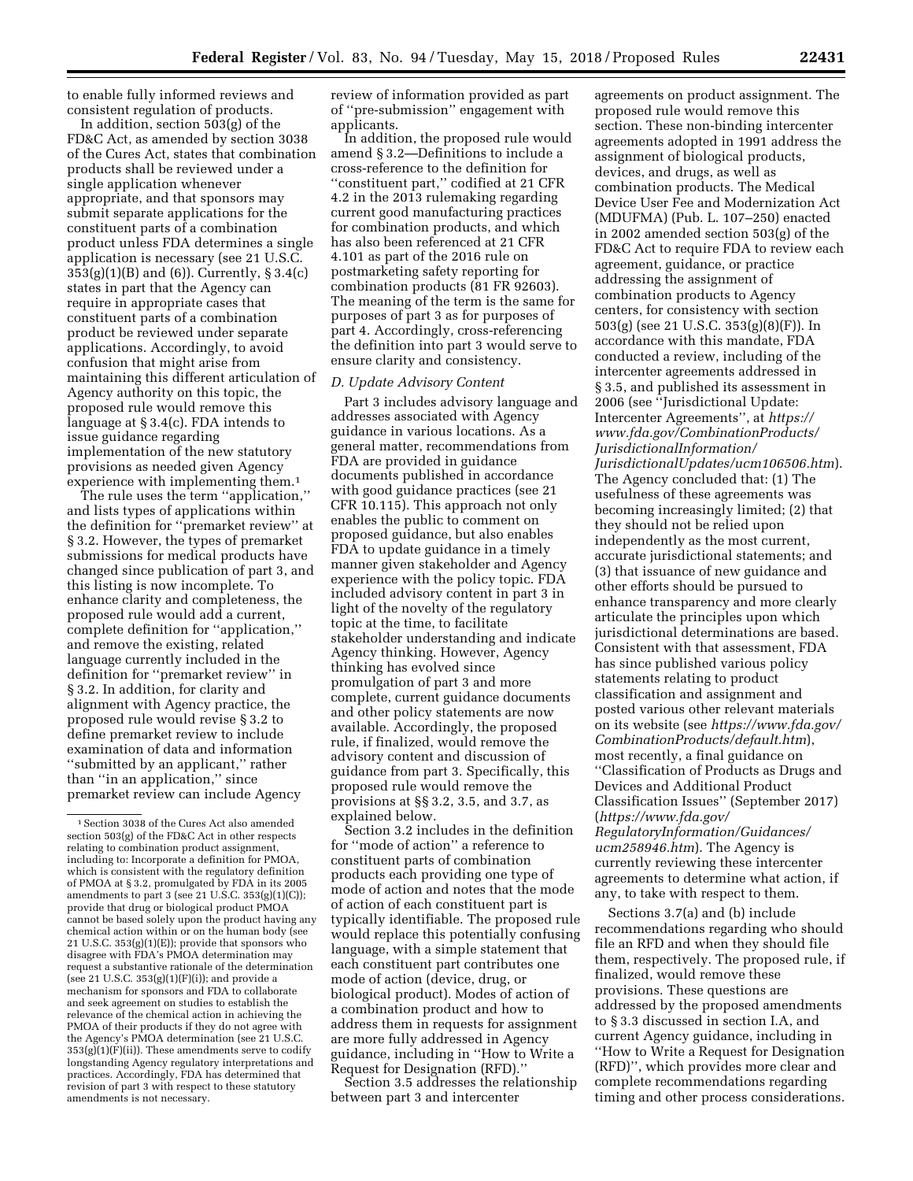to enable fully informed reviews and consistent regulation of products.

In addition, section 503(g) of the FD&C Act, as amended by section 3038 of the Cures Act, states that combination products shall be reviewed under a single application whenever appropriate, and that sponsors may submit separate applications for the constituent parts of a combination product unless FDA determines a single application is necessary (see 21 U.S.C. 353(g)(1)(B) and (6)). Currently, § 3.4(c) states in part that the Agency can require in appropriate cases that constituent parts of a combination product be reviewed under separate applications. Accordingly, to avoid confusion that might arise from maintaining this different articulation of Agency authority on this topic, the proposed rule would remove this language at § 3.4(c). FDA intends to issue guidance regarding implementation of the new statutory provisions as needed given Agency experience with implementing them.1

The rule uses the term ''application,'' and lists types of applications within the definition for ''premarket review'' at § 3.2. However, the types of premarket submissions for medical products have changed since publication of part 3, and this listing is now incomplete. To enhance clarity and completeness, the proposed rule would add a current, complete definition for ''application,'' and remove the existing, related language currently included in the definition for ''premarket review'' in § 3.2. In addition, for clarity and alignment with Agency practice, the proposed rule would revise § 3.2 to define premarket review to include examination of data and information ''submitted by an applicant,'' rather than ''in an application,'' since premarket review can include Agency

review of information provided as part of ''pre-submission'' engagement with applicants.

In addition, the proposed rule would amend § 3.2—Definitions to include a cross-reference to the definition for ''constituent part,'' codified at 21 CFR 4.2 in the 2013 rulemaking regarding current good manufacturing practices for combination products, and which has also been referenced at 21 CFR 4.101 as part of the 2016 rule on postmarketing safety reporting for combination products (81 FR 92603). The meaning of the term is the same for purposes of part 3 as for purposes of part 4. Accordingly, cross-referencing the definition into part 3 would serve to ensure clarity and consistency.

## *D. Update Advisory Content*

Part 3 includes advisory language and addresses associated with Agency guidance in various locations. As a general matter, recommendations from FDA are provided in guidance documents published in accordance with good guidance practices (see 21 CFR 10.115). This approach not only enables the public to comment on proposed guidance, but also enables FDA to update guidance in a timely manner given stakeholder and Agency experience with the policy topic. FDA included advisory content in part 3 in light of the novelty of the regulatory topic at the time, to facilitate stakeholder understanding and indicate Agency thinking. However, Agency thinking has evolved since promulgation of part 3 and more complete, current guidance documents and other policy statements are now available. Accordingly, the proposed rule, if finalized, would remove the advisory content and discussion of guidance from part 3. Specifically, this proposed rule would remove the provisions at §§ 3.2, 3.5, and 3.7, as explained below.

Section 3.2 includes in the definition for ''mode of action'' a reference to constituent parts of combination products each providing one type of mode of action and notes that the mode of action of each constituent part is typically identifiable. The proposed rule would replace this potentially confusing language, with a simple statement that each constituent part contributes one mode of action (device, drug, or biological product). Modes of action of a combination product and how to address them in requests for assignment are more fully addressed in Agency guidance, including in ''How to Write a Request for Designation (RFD).''

Section 3.5 addresses the relationship between part 3 and intercenter

agreements on product assignment. The proposed rule would remove this section. These non-binding intercenter agreements adopted in 1991 address the assignment of biological products, devices, and drugs, as well as combination products. The Medical Device User Fee and Modernization Act (MDUFMA) (Pub. L. 107–250) enacted in 2002 amended section 503(g) of the FD&C Act to require FDA to review each agreement, guidance, or practice addressing the assignment of combination products to Agency centers, for consistency with section 503(g) (see 21 U.S.C. 353(g)(8)(F)). In accordance with this mandate, FDA conducted a review, including of the intercenter agreements addressed in § 3.5, and published its assessment in 2006 (see ''Jurisdictional Update: Intercenter Agreements'', at *[https://](https://www.fda.gov/CombinationProducts/JurisdictionalInformation/JurisdictionalUpdates/ucm106506.htm) [www.fda.gov/CombinationProducts/](https://www.fda.gov/CombinationProducts/JurisdictionalInformation/JurisdictionalUpdates/ucm106506.htm) [JurisdictionalInformation/](https://www.fda.gov/CombinationProducts/JurisdictionalInformation/JurisdictionalUpdates/ucm106506.htm)  [JurisdictionalUpdates/ucm106506.htm](https://www.fda.gov/CombinationProducts/JurisdictionalInformation/JurisdictionalUpdates/ucm106506.htm)*). The Agency concluded that: (1) The usefulness of these agreements was becoming increasingly limited; (2) that they should not be relied upon independently as the most current, accurate jurisdictional statements; and (3) that issuance of new guidance and other efforts should be pursued to enhance transparency and more clearly articulate the principles upon which jurisdictional determinations are based. Consistent with that assessment, FDA has since published various policy statements relating to product classification and assignment and posted various other relevant materials on its website (see *[https://www.fda.gov/](https://www.fda.gov/CombinationProducts/default.htm) [CombinationProducts/default.htm](https://www.fda.gov/CombinationProducts/default.htm)*), most recently, a final guidance on ''Classification of Products as Drugs and Devices and Additional Product Classification Issues'' (September 2017) (*[https://www.fda.gov/](https://www.fda.gov/RegulatoryInformation/Guidances/ucm258946.htm) [RegulatoryInformation/Guidances/](https://www.fda.gov/RegulatoryInformation/Guidances/ucm258946.htm)  [ucm258946.htm](https://www.fda.gov/RegulatoryInformation/Guidances/ucm258946.htm)*). The Agency is currently reviewing these intercenter agreements to determine what action, if any, to take with respect to them.

Sections 3.7(a) and (b) include recommendations regarding who should file an RFD and when they should file them, respectively. The proposed rule, if finalized, would remove these provisions. These questions are addressed by the proposed amendments to § 3.3 discussed in section I.A, and current Agency guidance, including in ''How to Write a Request for Designation (RFD)'', which provides more clear and complete recommendations regarding timing and other process considerations.

<sup>1</sup>Section 3038 of the Cures Act also amended section 503(g) of the FD&C Act in other respects relating to combination product assignment, including to: Incorporate a definition for PMOA, which is consistent with the regulatory definition of PMOA at § 3.2, promulgated by FDA in its 2005 amendments to part 3 (see 21 U.S.C. 353(g)(1)(C)); provide that drug or biological product PMOA cannot be based solely upon the product having any chemical action within or on the human body (see 21 U.S.C. 353(g)(1)(E)); provide that sponsors who disagree with FDA's PMOA determination may request a substantive rationale of the determination (see 21 U.S.C. 353(g)(1)(F)(i)); and provide a mechanism for sponsors and FDA to collaborate and seek agreement on studies to establish the relevance of the chemical action in achieving the PMOA of their products if they do not agree with the Agency's PMOA determination (see 21 U.S.C.  $353(g)(1)(F)(ii)$ ). These amendments serve to codify longstanding Agency regulatory interpretations and practices. Accordingly, FDA has determined that revision of part 3 with respect to these statutory amendments is not necessary.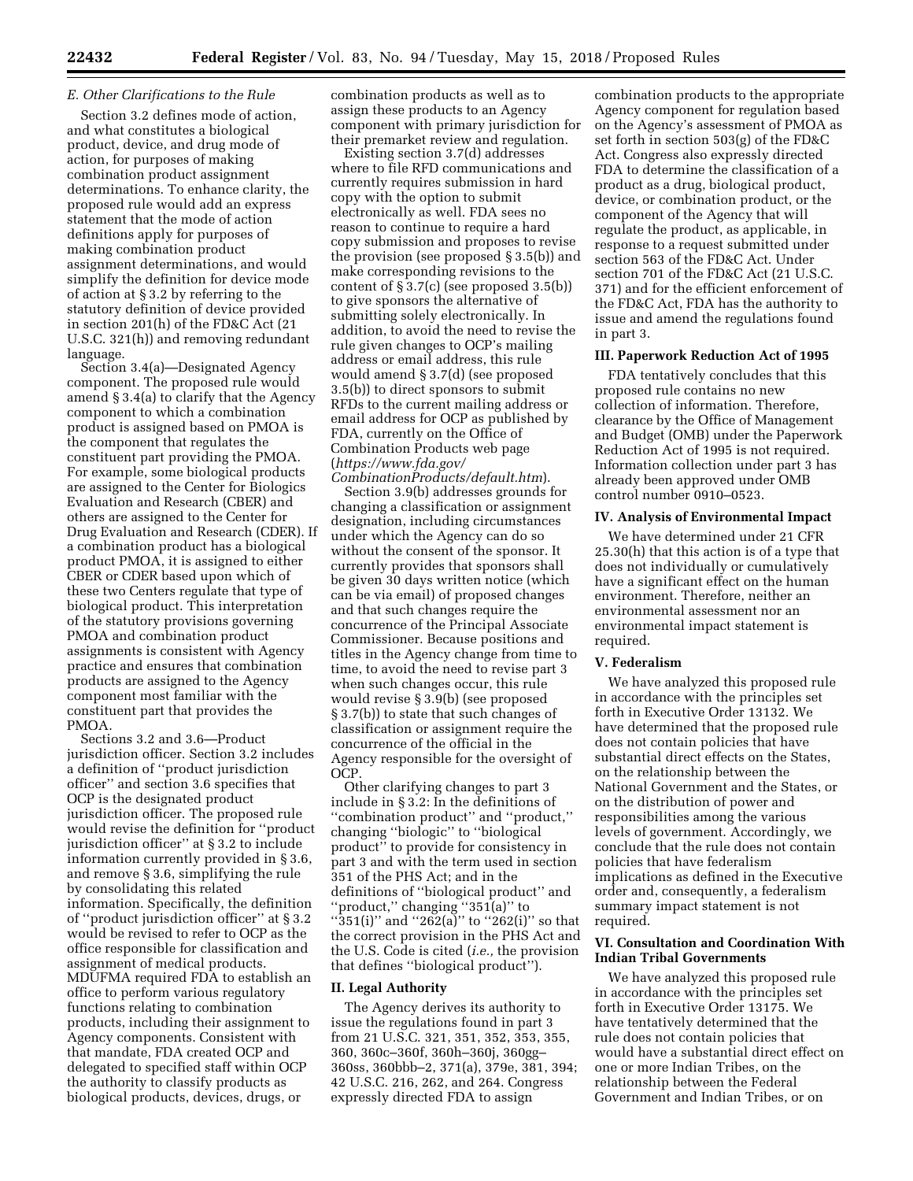### *E. Other Clarifications to the Rule*

Section 3.2 defines mode of action, and what constitutes a biological product, device, and drug mode of action, for purposes of making combination product assignment determinations. To enhance clarity, the proposed rule would add an express statement that the mode of action definitions apply for purposes of making combination product assignment determinations, and would simplify the definition for device mode of action at § 3.2 by referring to the statutory definition of device provided in section 201(h) of the FD&C Act (21 U.S.C. 321(h)) and removing redundant language.

Section 3.4(a)—Designated Agency component. The proposed rule would amend § 3.4(a) to clarify that the Agency component to which a combination product is assigned based on PMOA is the component that regulates the constituent part providing the PMOA. For example, some biological products are assigned to the Center for Biologics Evaluation and Research (CBER) and others are assigned to the Center for Drug Evaluation and Research (CDER). If a combination product has a biological product PMOA, it is assigned to either CBER or CDER based upon which of these two Centers regulate that type of biological product. This interpretation of the statutory provisions governing PMOA and combination product assignments is consistent with Agency practice and ensures that combination products are assigned to the Agency component most familiar with the constituent part that provides the PMOA.

Sections 3.2 and 3.6—Product jurisdiction officer. Section 3.2 includes a definition of ''product jurisdiction officer'' and section 3.6 specifies that OCP is the designated product jurisdiction officer. The proposed rule would revise the definition for ''product jurisdiction officer'' at § 3.2 to include information currently provided in § 3.6, and remove § 3.6, simplifying the rule by consolidating this related information. Specifically, the definition of ''product jurisdiction officer'' at § 3.2 would be revised to refer to OCP as the office responsible for classification and assignment of medical products. MDUFMA required FDA to establish an office to perform various regulatory functions relating to combination products, including their assignment to Agency components. Consistent with that mandate, FDA created OCP and delegated to specified staff within OCP the authority to classify products as biological products, devices, drugs, or

combination products as well as to assign these products to an Agency component with primary jurisdiction for their premarket review and regulation.

Existing section 3.7(d) addresses where to file RFD communications and currently requires submission in hard copy with the option to submit electronically as well. FDA sees no reason to continue to require a hard copy submission and proposes to revise the provision (see proposed § 3.5(b)) and make corresponding revisions to the content of § 3.7(c) (see proposed 3.5(b)) to give sponsors the alternative of submitting solely electronically. In addition, to avoid the need to revise the rule given changes to OCP's mailing address or email address, this rule would amend § 3.7(d) (see proposed 3.5(b)) to direct sponsors to submit RFDs to the current mailing address or email address for OCP as published by FDA, currently on the Office of Combination Products web page (*[https://www.fda.gov/](https://www.fda.gov/CombinationProducts/default.htm)* 

*[CombinationProducts/default.htm](https://www.fda.gov/CombinationProducts/default.htm)*). Section 3.9(b) addresses grounds for changing a classification or assignment designation, including circumstances under which the Agency can do so without the consent of the sponsor. It currently provides that sponsors shall be given 30 days written notice (which can be via email) of proposed changes and that such changes require the concurrence of the Principal Associate Commissioner. Because positions and titles in the Agency change from time to time, to avoid the need to revise part 3 when such changes occur, this rule would revise § 3.9(b) (see proposed § 3.7(b)) to state that such changes of classification or assignment require the concurrence of the official in the Agency responsible for the oversight of OCP.

Other clarifying changes to part 3 include in § 3.2: In the definitions of ''combination product'' and ''product,'' changing ''biologic'' to ''biological product'' to provide for consistency in part 3 and with the term used in section 351 of the PHS Act; and in the definitions of ''biological product'' and ''product,'' changing ''351(a)'' to ''351(i)'' and ''262(a)'' to ''262(i)'' so that the correct provision in the PHS Act and the U.S. Code is cited (*i.e.,* the provision that defines ''biological product'').

### **II. Legal Authority**

The Agency derives its authority to issue the regulations found in part 3 from 21 U.S.C. 321, 351, 352, 353, 355, 360, 360c–360f, 360h–360j, 360gg– 360ss, 360bbb–2, 371(a), 379e, 381, 394; 42 U.S.C. 216, 262, and 264. Congress expressly directed FDA to assign

combination products to the appropriate Agency component for regulation based on the Agency's assessment of PMOA as set forth in section 503(g) of the FD&C Act. Congress also expressly directed FDA to determine the classification of a product as a drug, biological product, device, or combination product, or the component of the Agency that will regulate the product, as applicable, in response to a request submitted under section 563 of the FD&C Act. Under section 701 of the FD&C Act (21 U.S.C. 371) and for the efficient enforcement of the FD&C Act, FDA has the authority to issue and amend the regulations found in part 3.

#### **III. Paperwork Reduction Act of 1995**

FDA tentatively concludes that this proposed rule contains no new collection of information. Therefore, clearance by the Office of Management and Budget (OMB) under the Paperwork Reduction Act of 1995 is not required. Information collection under part 3 has already been approved under OMB control number 0910–0523.

### **IV. Analysis of Environmental Impact**

We have determined under 21 CFR 25.30(h) that this action is of a type that does not individually or cumulatively have a significant effect on the human environment. Therefore, neither an environmental assessment nor an environmental impact statement is required.

#### **V. Federalism**

We have analyzed this proposed rule in accordance with the principles set forth in Executive Order 13132. We have determined that the proposed rule does not contain policies that have substantial direct effects on the States, on the relationship between the National Government and the States, or on the distribution of power and responsibilities among the various levels of government. Accordingly, we conclude that the rule does not contain policies that have federalism implications as defined in the Executive order and, consequently, a federalism summary impact statement is not required.

### **VI. Consultation and Coordination With Indian Tribal Governments**

We have analyzed this proposed rule in accordance with the principles set forth in Executive Order 13175. We have tentatively determined that the rule does not contain policies that would have a substantial direct effect on one or more Indian Tribes, on the relationship between the Federal Government and Indian Tribes, or on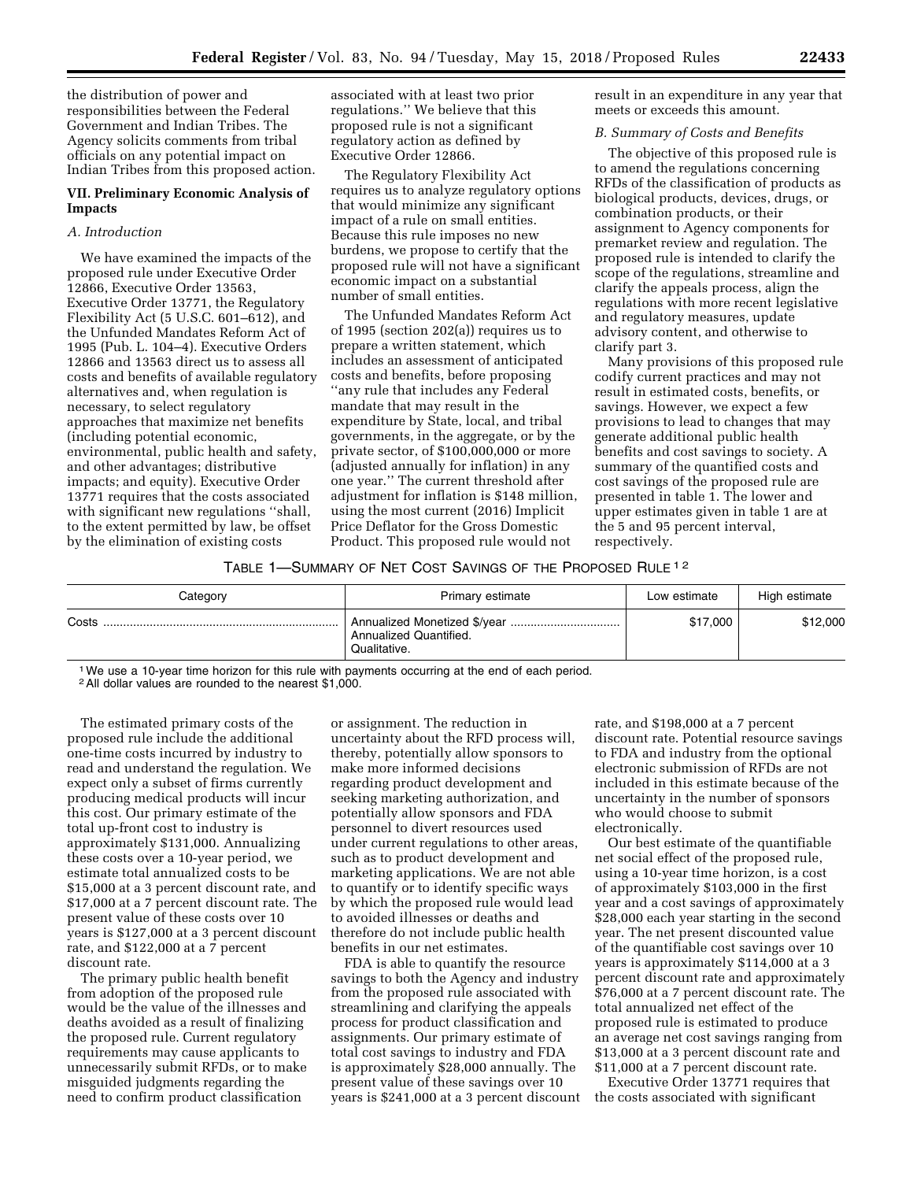the distribution of power and responsibilities between the Federal Government and Indian Tribes. The Agency solicits comments from tribal officials on any potential impact on Indian Tribes from this proposed action.

## **VII. Preliminary Economic Analysis of Impacts**

## *A. Introduction*

We have examined the impacts of the proposed rule under Executive Order 12866, Executive Order 13563, Executive Order 13771, the Regulatory Flexibility Act (5 U.S.C. 601–612), and the Unfunded Mandates Reform Act of 1995 (Pub. L. 104–4). Executive Orders 12866 and 13563 direct us to assess all costs and benefits of available regulatory alternatives and, when regulation is necessary, to select regulatory approaches that maximize net benefits (including potential economic, environmental, public health and safety, and other advantages; distributive impacts; and equity). Executive Order 13771 requires that the costs associated with significant new regulations ''shall, to the extent permitted by law, be offset by the elimination of existing costs

associated with at least two prior regulations.'' We believe that this proposed rule is not a significant regulatory action as defined by Executive Order 12866.

The Regulatory Flexibility Act requires us to analyze regulatory options that would minimize any significant impact of a rule on small entities. Because this rule imposes no new burdens, we propose to certify that the proposed rule will not have a significant economic impact on a substantial number of small entities.

The Unfunded Mandates Reform Act of 1995 (section 202(a)) requires us to prepare a written statement, which includes an assessment of anticipated costs and benefits, before proposing ''any rule that includes any Federal mandate that may result in the expenditure by State, local, and tribal governments, in the aggregate, or by the private sector, of \$100,000,000 or more (adjusted annually for inflation) in any one year.'' The current threshold after adjustment for inflation is \$148 million, using the most current (2016) Implicit Price Deflator for the Gross Domestic Product. This proposed rule would not

result in an expenditure in any year that meets or exceeds this amount.

### *B. Summary of Costs and Benefits*

The objective of this proposed rule is to amend the regulations concerning RFDs of the classification of products as biological products, devices, drugs, or combination products, or their assignment to Agency components for premarket review and regulation. The proposed rule is intended to clarify the scope of the regulations, streamline and clarify the appeals process, align the regulations with more recent legislative and regulatory measures, update advisory content, and otherwise to clarify part 3.

Many provisions of this proposed rule codify current practices and may not result in estimated costs, benefits, or savings. However, we expect a few provisions to lead to changes that may generate additional public health benefits and cost savings to society. A summary of the quantified costs and cost savings of the proposed rule are presented in table 1. The lower and upper estimates given in table 1 are at the 5 and 95 percent interval, respectively.

## TABLE 1—SUMMARY OF NET COST SAVINGS OF THE PROPOSED RULE 1 2

| Category | Primary estimate                       | Low estimate | High estimate |
|----------|----------------------------------------|--------------|---------------|
| Costs    | Annualized Quantified.<br>Qualitative. | \$17,000     | \$12,000      |

1We use a 10-year time horizon for this rule with payments occurring at the end of each period.

2All dollar values are rounded to the nearest \$1,000.

The estimated primary costs of the proposed rule include the additional one-time costs incurred by industry to read and understand the regulation. We expect only a subset of firms currently producing medical products will incur this cost. Our primary estimate of the total up-front cost to industry is approximately \$131,000. Annualizing these costs over a 10-year period, we estimate total annualized costs to be \$15,000 at a 3 percent discount rate, and \$17,000 at a 7 percent discount rate. The present value of these costs over 10 years is \$127,000 at a 3 percent discount rate, and \$122,000 at a 7 percent discount rate.

The primary public health benefit from adoption of the proposed rule would be the value of the illnesses and deaths avoided as a result of finalizing the proposed rule. Current regulatory requirements may cause applicants to unnecessarily submit RFDs, or to make misguided judgments regarding the need to confirm product classification

or assignment. The reduction in uncertainty about the RFD process will, thereby, potentially allow sponsors to make more informed decisions regarding product development and seeking marketing authorization, and potentially allow sponsors and FDA personnel to divert resources used under current regulations to other areas, such as to product development and marketing applications. We are not able to quantify or to identify specific ways by which the proposed rule would lead to avoided illnesses or deaths and therefore do not include public health benefits in our net estimates.

FDA is able to quantify the resource savings to both the Agency and industry from the proposed rule associated with streamlining and clarifying the appeals process for product classification and assignments. Our primary estimate of total cost savings to industry and FDA is approximately \$28,000 annually. The present value of these savings over 10 years is \$241,000 at a 3 percent discount rate, and \$198,000 at a 7 percent discount rate. Potential resource savings to FDA and industry from the optional electronic submission of RFDs are not included in this estimate because of the uncertainty in the number of sponsors who would choose to submit electronically.

Our best estimate of the quantifiable net social effect of the proposed rule, using a 10-year time horizon, is a cost of approximately \$103,000 in the first year and a cost savings of approximately \$28,000 each year starting in the second year. The net present discounted value of the quantifiable cost savings over 10 years is approximately \$114,000 at a 3 percent discount rate and approximately \$76,000 at a 7 percent discount rate. The total annualized net effect of the proposed rule is estimated to produce an average net cost savings ranging from \$13,000 at a 3 percent discount rate and \$11,000 at a 7 percent discount rate.

Executive Order 13771 requires that the costs associated with significant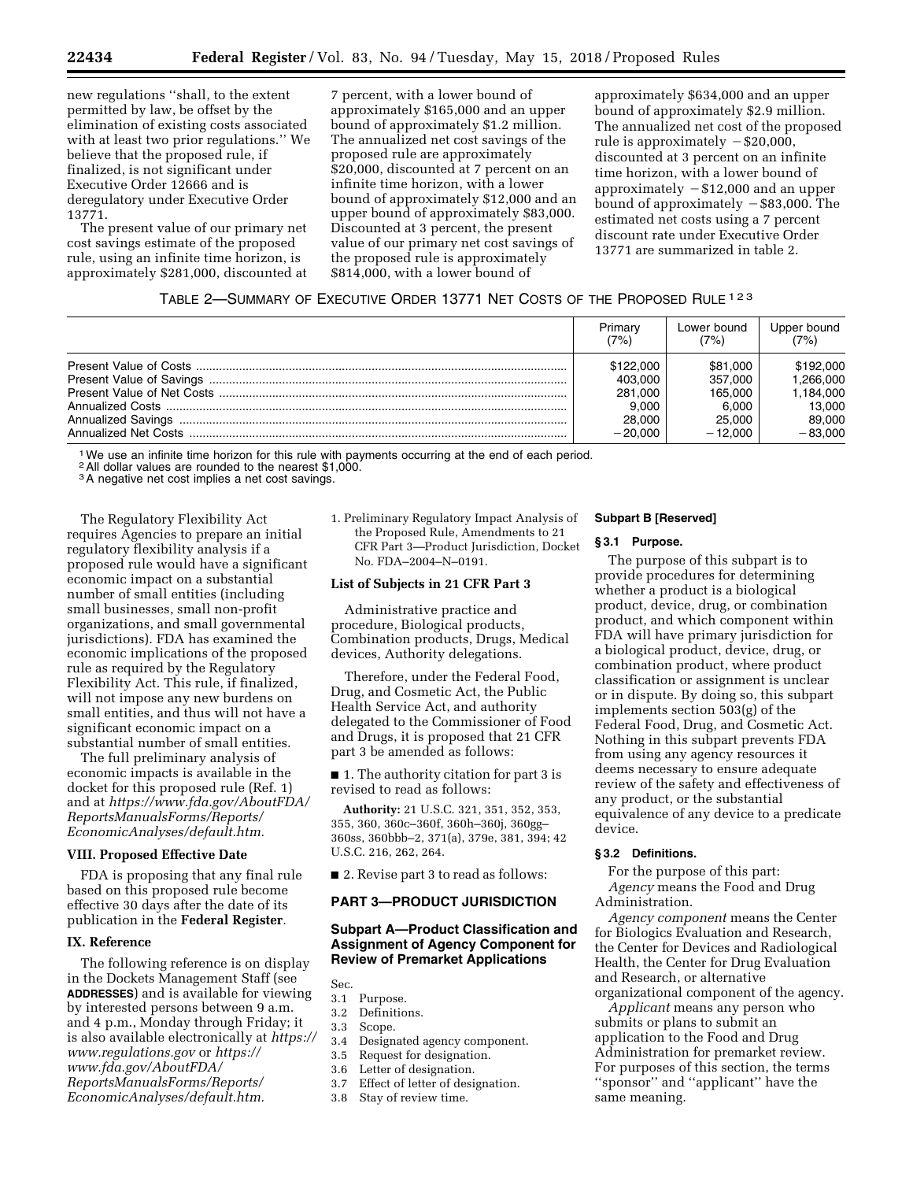new regulations ''shall, to the extent permitted by law, be offset by the elimination of existing costs associated with at least two prior regulations.'' We believe that the proposed rule, if finalized, is not significant under Executive Order 12666 and is deregulatory under Executive Order 13771.

The present value of our primary net cost savings estimate of the proposed rule, using an infinite time horizon, is approximately \$281,000, discounted at

7 percent, with a lower bound of approximately \$165,000 and an upper bound of approximately \$1.2 million. The annualized net cost savings of the proposed rule are approximately \$20,000, discounted at 7 percent on an infinite time horizon, with a lower bound of approximately \$12,000 and an upper bound of approximately \$83,000. Discounted at 3 percent, the present value of our primary net cost savings of the proposed rule is approximately \$814,000, with a lower bound of

approximately \$634,000 and an upper bound of approximately \$2.9 million. The annualized net cost of the proposed rule is approximately  $-$ \$20,000, discounted at 3 percent on an infinite time horizon, with a lower bound of approximately  $-$  \$12,000 and an upper bound of approximately  $-$ \$83,000. The estimated net costs using a 7 percent discount rate under Executive Order 13771 are summarized in table 2.

## TABLE 2—SUMMARY OF EXECUTIVE ORDER 13771 NET COSTS OF THE PROPOSED RULE 123

| Primary   | Lower bound | Upper bound |
|-----------|-------------|-------------|
| (7%)      | (7%)        | (7%)        |
| \$122,000 | \$81,000    | \$192,000   |
| 403.000   | 357.000     | 1.266.000   |
| 281.000   | 165.000     | 1.184.000   |
| 9.000     | 6.000       | 13.000      |
| 28,000    | 25,000      | 89.000      |
| $-20.000$ | $-12.000$   | $-83.000$   |

1We use an infinite time horizon for this rule with payments occurring at the end of each period.

2All dollar values are rounded to the nearest \$1,000.

<sup>3</sup>A negative net cost implies a net cost savings.

The Regulatory Flexibility Act requires Agencies to prepare an initial regulatory flexibility analysis if a proposed rule would have a significant economic impact on a substantial number of small entities (including small businesses, small non-profit organizations, and small governmental jurisdictions). FDA has examined the economic implications of the proposed rule as required by the Regulatory Flexibility Act. This rule, if finalized, will not impose any new burdens on small entities, and thus will not have a significant economic impact on a substantial number of small entities.

The full preliminary analysis of economic impacts is available in the docket for this proposed rule (Ref. 1) and at *[https://www.fda.gov/AboutFDA/](https://www.fda.gov/AboutFDA/ReportsManualsForms/Reports/EconomicAnalyses/default.htm)  [ReportsManualsForms/Reports/](https://www.fda.gov/AboutFDA/ReportsManualsForms/Reports/EconomicAnalyses/default.htm)  [EconomicAnalyses/default.htm.](https://www.fda.gov/AboutFDA/ReportsManualsForms/Reports/EconomicAnalyses/default.htm)* 

### **VIII. Proposed Effective Date**

FDA is proposing that any final rule based on this proposed rule become effective 30 days after the date of its publication in the **Federal Register**.

#### **IX. Reference**

The following reference is on display in the Dockets Management Staff (see **ADDRESSES**) and is available for viewing by interested persons between 9 a.m. and 4 p.m., Monday through Friday; it is also available electronically at *[https://](https://www.regulations.gov) [www.regulations.gov](https://www.regulations.gov)* or *[https://](https://www.fda.gov/AboutFDA/ReportsManualsForms/Reports/EconomicAnalyses/default.htm) [www.fda.gov/AboutFDA/](https://www.fda.gov/AboutFDA/ReportsManualsForms/Reports/EconomicAnalyses/default.htm) [ReportsManualsForms/Reports/](https://www.fda.gov/AboutFDA/ReportsManualsForms/Reports/EconomicAnalyses/default.htm)  [EconomicAnalyses/default.htm.](https://www.fda.gov/AboutFDA/ReportsManualsForms/Reports/EconomicAnalyses/default.htm)* 

1. Preliminary Regulatory Impact Analysis of the Proposed Rule, Amendments to 21 CFR Part 3—Product Jurisdiction, Docket No. FDA–2004–N–0191.

### **List of Subjects in 21 CFR Part 3**

Administrative practice and procedure, Biological products, Combination products, Drugs, Medical devices, Authority delegations.

Therefore, under the Federal Food, Drug, and Cosmetic Act, the Public Health Service Act, and authority delegated to the Commissioner of Food and Drugs, it is proposed that 21 CFR part 3 be amended as follows:

■ 1. The authority citation for part 3 is revised to read as follows:

**Authority:** 21 U.S.C. 321, 351, 352, 353, 355, 360, 360c–360f, 360h–360j, 360gg– 360ss, 360bbb–2, 371(a), 379e, 381, 394; 42 U.S.C. 216, 262, 264.

■ 2. Revise part 3 to read as follows:

## **PART 3—PRODUCT JURISDICTION**

## **Subpart A—Product Classification and Assignment of Agency Component for Review of Premarket Applications**

- Sec.
- 3.1 Purpose. 3.2 Definitions.
- 3.3 Scope.
- 
- 3.4 Designated agency component.<br>3.5 Request for designation
- Request for designation.
- 3.6 Letter of designation.
- 3.7 Effect of letter of designation.
- 3.8 Stay of review time.

#### **Subpart B [Reserved]**

### **§ 3.1 Purpose.**

The purpose of this subpart is to provide procedures for determining whether a product is a biological product, device, drug, or combination product, and which component within FDA will have primary jurisdiction for a biological product, device, drug, or combination product, where product classification or assignment is unclear or in dispute. By doing so, this subpart implements section 503(g) of the Federal Food, Drug, and Cosmetic Act. Nothing in this subpart prevents FDA from using any agency resources it deems necessary to ensure adequate review of the safety and effectiveness of any product, or the substantial equivalence of any device to a predicate device.

## **§ 3.2 Definitions.**

For the purpose of this part: *Agency* means the Food and Drug Administration.

*Agency component* means the Center for Biologics Evaluation and Research, the Center for Devices and Radiological Health, the Center for Drug Evaluation and Research, or alternative organizational component of the agency.

*Applicant* means any person who submits or plans to submit an application to the Food and Drug Administration for premarket review. For purposes of this section, the terms ''sponsor'' and ''applicant'' have the same meaning.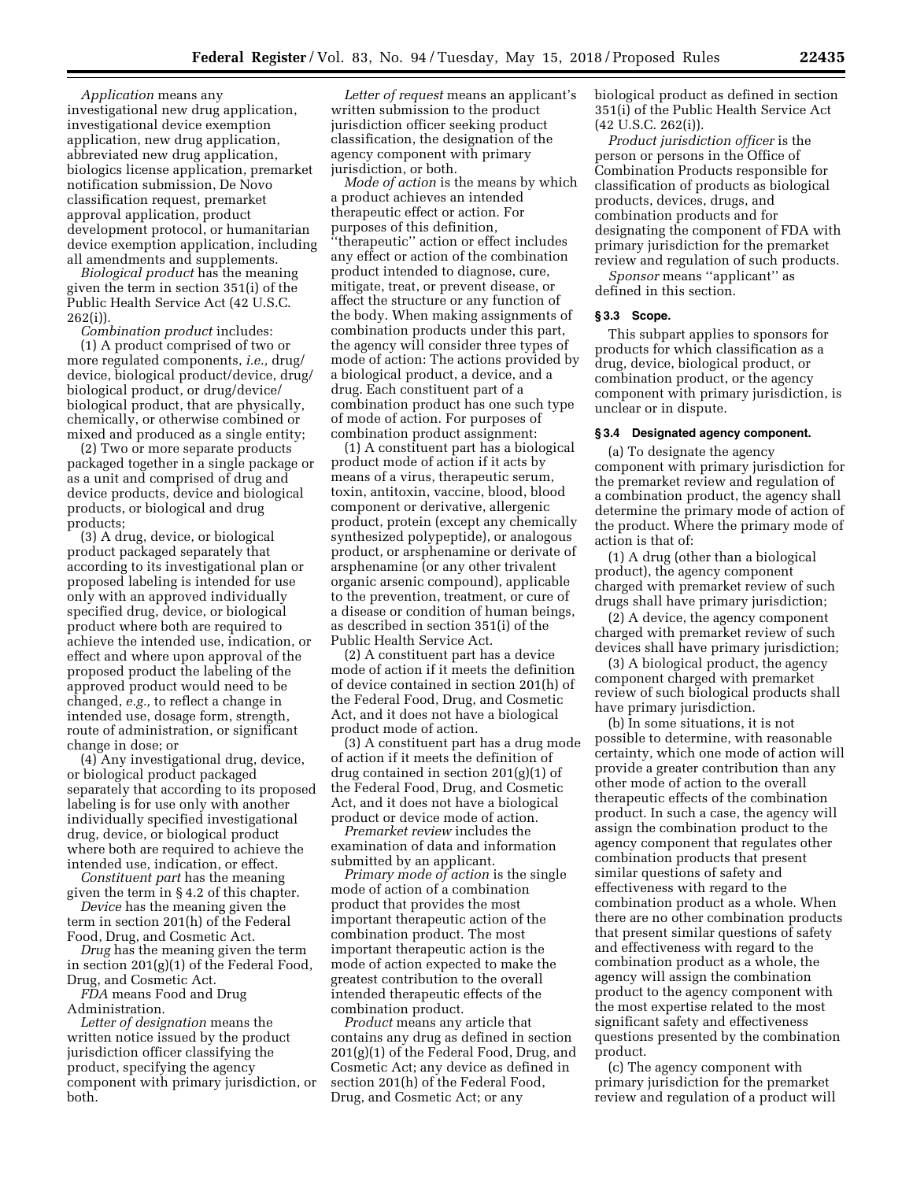*Application* means any investigational new drug application, investigational device exemption application, new drug application, abbreviated new drug application, biologics license application, premarket notification submission, De Novo classification request, premarket approval application, product development protocol, or humanitarian device exemption application, including all amendments and supplements.

*Biological product* has the meaning given the term in section 351(i) of the Public Health Service Act (42 U.S.C. 262(i)).

*Combination product* includes:

(1) A product comprised of two or more regulated components, *i.e.,* drug/ device, biological product/device, drug/ biological product, or drug/device/ biological product, that are physically, chemically, or otherwise combined or mixed and produced as a single entity;

(2) Two or more separate products packaged together in a single package or as a unit and comprised of drug and device products, device and biological products, or biological and drug products;

(3) A drug, device, or biological product packaged separately that according to its investigational plan or proposed labeling is intended for use only with an approved individually specified drug, device, or biological product where both are required to achieve the intended use, indication, or effect and where upon approval of the proposed product the labeling of the approved product would need to be changed, *e.g.,* to reflect a change in intended use, dosage form, strength, route of administration, or significant change in dose; or

(4) Any investigational drug, device, or biological product packaged separately that according to its proposed labeling is for use only with another individually specified investigational drug, device, or biological product where both are required to achieve the intended use, indication, or effect.

*Constituent part* has the meaning given the term in § 4.2 of this chapter.

*Device* has the meaning given the term in section 201(h) of the Federal Food, Drug, and Cosmetic Act.

*Drug* has the meaning given the term in section 201(g)(1) of the Federal Food, Drug, and Cosmetic Act.

*FDA* means Food and Drug Administration.

*Letter of designation* means the written notice issued by the product jurisdiction officer classifying the product, specifying the agency component with primary jurisdiction, or both.

*Letter of request* means an applicant's written submission to the product jurisdiction officer seeking product classification, the designation of the agency component with primary jurisdiction, or both.

*Mode of action* is the means by which a product achieves an intended therapeutic effect or action. For purposes of this definition, ''therapeutic'' action or effect includes any effect or action of the combination product intended to diagnose, cure, mitigate, treat, or prevent disease, or affect the structure or any function of the body. When making assignments of combination products under this part, the agency will consider three types of mode of action: The actions provided by a biological product, a device, and a drug. Each constituent part of a combination product has one such type of mode of action. For purposes of combination product assignment:

(1) A constituent part has a biological product mode of action if it acts by means of a virus, therapeutic serum, toxin, antitoxin, vaccine, blood, blood component or derivative, allergenic product, protein (except any chemically synthesized polypeptide), or analogous product, or arsphenamine or derivate of arsphenamine (or any other trivalent organic arsenic compound), applicable to the prevention, treatment, or cure of a disease or condition of human beings, as described in section 351(i) of the Public Health Service Act.

(2) A constituent part has a device mode of action if it meets the definition of device contained in section 201(h) of the Federal Food, Drug, and Cosmetic Act, and it does not have a biological product mode of action.

(3) A constituent part has a drug mode of action if it meets the definition of drug contained in section 201(g)(1) of the Federal Food, Drug, and Cosmetic Act, and it does not have a biological product or device mode of action.

*Premarket review* includes the examination of data and information submitted by an applicant.

*Primary mode of action* is the single mode of action of a combination product that provides the most important therapeutic action of the combination product. The most important therapeutic action is the mode of action expected to make the greatest contribution to the overall intended therapeutic effects of the combination product.

*Product* means any article that contains any drug as defined in section 201(g)(1) of the Federal Food, Drug, and Cosmetic Act; any device as defined in section 201(h) of the Federal Food, Drug, and Cosmetic Act; or any

biological product as defined in section 351(i) of the Public Health Service Act  $(42 \text{ U.S.C. } 262 \text{ (i)}).$ 

*Product jurisdiction officer* is the person or persons in the Office of Combination Products responsible for classification of products as biological products, devices, drugs, and combination products and for designating the component of FDA with primary jurisdiction for the premarket review and regulation of such products.

*Sponsor* means ''applicant'' as defined in this section.

#### **§ 3.3 Scope.**

This subpart applies to sponsors for products for which classification as a drug, device, biological product, or combination product, or the agency component with primary jurisdiction, is unclear or in dispute.

## **§ 3.4 Designated agency component.**

(a) To designate the agency component with primary jurisdiction for the premarket review and regulation of a combination product, the agency shall determine the primary mode of action of the product. Where the primary mode of action is that of:

(1) A drug (other than a biological product), the agency component charged with premarket review of such drugs shall have primary jurisdiction;

(2) A device, the agency component charged with premarket review of such devices shall have primary jurisdiction;

(3) A biological product, the agency component charged with premarket review of such biological products shall have primary jurisdiction.

(b) In some situations, it is not possible to determine, with reasonable certainty, which one mode of action will provide a greater contribution than any other mode of action to the overall therapeutic effects of the combination product. In such a case, the agency will assign the combination product to the agency component that regulates other combination products that present similar questions of safety and effectiveness with regard to the combination product as a whole. When there are no other combination products that present similar questions of safety and effectiveness with regard to the combination product as a whole, the agency will assign the combination product to the agency component with the most expertise related to the most significant safety and effectiveness questions presented by the combination product.

(c) The agency component with primary jurisdiction for the premarket review and regulation of a product will